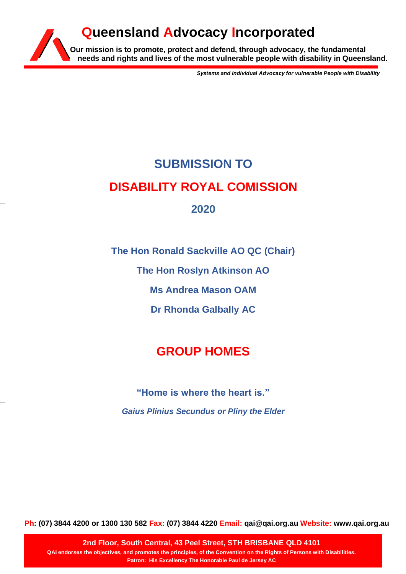## **Our mission is to promote, protect and defend, through advocacy, the fundamental needs and rights and lives of the most vulnerable people with disability in Queensland. Queensland Advocacy Incorporated**

*Systems and Individual Advocacy for vulnerable People with Disability*

# **SUBMISSION TO DISABILITY ROYAL COMISSION 2020**

**The Hon Ronald Sackville AO QC (Chair)**

**The Hon Roslyn Atkinson AO**

**Ms Andrea Mason OAM**

**Dr Rhonda Galbally AC**

## **GROUP HOMES**

**"Home is where the heart is."** *Gaius Plinius Secundus or Pliny the Elder*

**Ph: (07) 3844 4200 or 1300 130 582 Fax: (07) 3844 4220 Email: qai@qai.org.au Website: www.qai.org.au**

**2nd Floor, South Central, 43 Peel Street, STH BRISBANE QLD 4101 QAI endorses the objectives, and promotes the principles, of the Convention on the Rights of Persons with Disabilities. Patron: His Excellency The Honorable Paul de Jersey AC**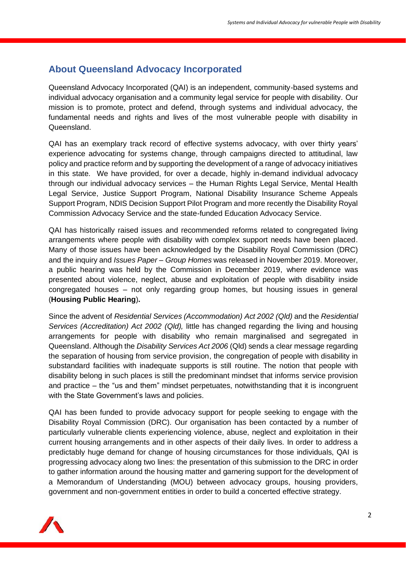## **About Queensland Advocacy Incorporated**

Queensland Advocacy Incorporated (QAI) is an independent, community-based systems and individual advocacy organisation and a community legal service for people with disability. Our mission is to promote, protect and defend, through systems and individual advocacy, the fundamental needs and rights and lives of the most vulnerable people with disability in Queensland.

QAI has an exemplary track record of effective systems advocacy, with over thirty years' experience advocating for systems change, through campaigns directed to attitudinal, law policy and practice reform and by supporting the development of a range of advocacy initiatives in this state. We have provided, for over a decade, highly in-demand individual advocacy through our individual advocacy services – the Human Rights Legal Service, Mental Health Legal Service, Justice Support Program, National Disability Insurance Scheme Appeals Support Program, NDIS Decision Support Pilot Program and more recently the Disability Royal Commission Advocacy Service and the state-funded Education Advocacy Service.

QAI has historically raised issues and recommended reforms related to congregated living arrangements where people with disability with complex support needs have been placed. Many of those issues have been acknowledged by the Disability Royal Commission (DRC) and the inquiry and *Issues Paper – Group Homes* was released in November 2019. Moreover, a public hearing was held by the Commission in December 2019, where evidence was presented about violence, neglect, abuse and exploitation of people with disability inside congregated houses – not only regarding group homes, but housing issues in general (**Housing Public Hearing**)**.**

Since the advent of *Residential Services (Accommodation) Act 2002 (Qld)* and the *Residential Services (Accreditation) Act 2002 (Qld),* little has changed regarding the living and housing arrangements for people with disability who remain marginalised and segregated in Queensland. Although the *Disability Services Act 2006* (Qld) sends a clear message regarding the separation of housing from service provision, the congregation of people with disability in substandard facilities with inadequate supports is still routine. The notion that people with disability belong in such places is still the predominant mindset that informs service provision and practice – the "us and them" mindset perpetuates, notwithstanding that it is incongruent with the State Government's laws and policies.

QAI has been funded to provide advocacy support for people seeking to engage with the Disability Royal Commission (DRC). Our organisation has been contacted by a number of particularly vulnerable clients experiencing violence, abuse, neglect and exploitation in their current housing arrangements and in other aspects of their daily lives. In order to address a predictably huge demand for change of housing circumstances for those individuals, QAI is progressing advocacy along two lines: the presentation of this submission to the DRC in order to gather information around the housing matter and garnering support for the development of a Memorandum of Understanding (MOU) between advocacy groups, housing providers, government and non-government entities in order to build a concerted effective strategy.

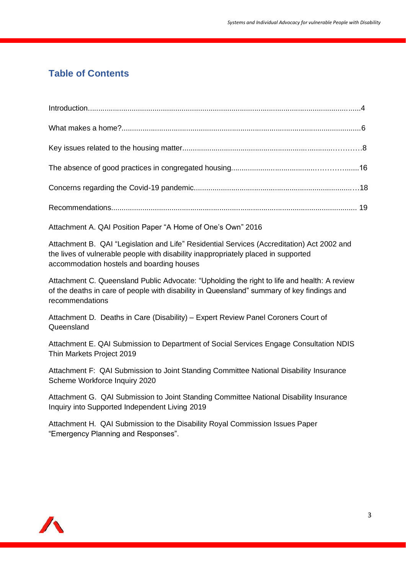## **Table of Contents**

| Attachment A. QAI Position Paper "A Home of One's Own" 2016                                                                                                                                                                   |
|-------------------------------------------------------------------------------------------------------------------------------------------------------------------------------------------------------------------------------|
| Attachment B. QAI "Legislation and Life" Residential Services (Accreditation) Act 2002 and<br>the lives of vulnerable people with disability inappropriately placed in supported<br>accommodation hostels and boarding houses |
| Attachment C. Queensland Public Advocate: "Upholding the right to life and health: A review<br>of the deaths in care of people with disability in Queensland" summary of key findings and<br>recommendations                  |
| Attachment D. Deaths in Care (Disability) - Expert Review Panel Coroners Court of<br>Queensland                                                                                                                               |
| Attachment E. QAI Submission to Department of Social Services Engage Consultation NDIS<br>Thin Markets Project 2019                                                                                                           |
| Attachment F: QAI Submission to Joint Standing Committee National Disability Insurance<br>Scheme Workforce Inquiry 2020                                                                                                       |
| Attachment G. QAI Submission to Joint Standing Committee National Disability Insurance<br>Inquiry into Supported Independent Living 2019                                                                                      |
| Attachment H. QAI Submission to the Disability Royal Commission Issues Paper<br>"Emergency Planning and Responses".                                                                                                           |
|                                                                                                                                                                                                                               |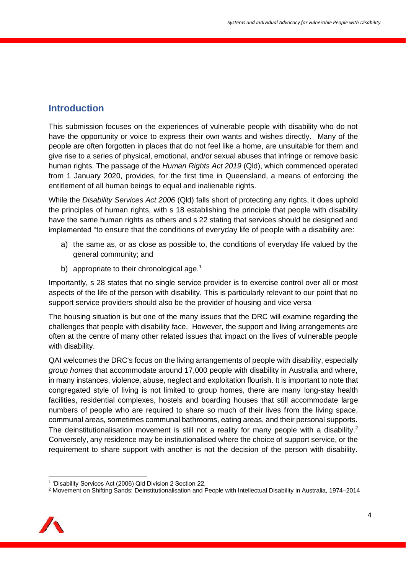## **Introduction**

This submission focuses on the experiences of vulnerable people with disability who do not have the opportunity or voice to express their own wants and wishes directly. Many of the people are often forgotten in places that do not feel like a home, are unsuitable for them and give rise to a series of physical, emotional, and/or sexual abuses that infringe or remove basic human rights. The passage of the *Human Rights Act 2019* (Qld), which commenced operated from 1 January 2020, provides, for the first time in Queensland, a means of enforcing the entitlement of all human beings to equal and inalienable rights.

While the *Disability Services Act 2006* (Qld) falls short of protecting any rights, it does uphold the principles of human rights, with s 18 establishing the principle that people with disability have the same human rights as others and s 22 stating that services should be designed and implemented "to ensure that the conditions of everyday life of people with a disability are:

- a) the same as, or as close as possible to, the conditions of everyday life valued by the general community; and
- b) appropriate to their chronological age.<sup>1</sup>

Importantly, s 28 states that no single service provider is to exercise control over all or most aspects of the life of the person with disability. This is particularly relevant to our point that no support service providers should also be the provider of housing and vice versa.

The housing situation is but one of the many issues that the DRC will examine regarding the challenges that people with disability face. However, the support and living arrangements are often at the centre of many other related issues that impact on the lives of vulnerable people with disability.

QAI welcomes the DRC's focus on the living arrangements of people with disability, especially *group homes* that accommodate around 17,000 people with disability in Australia and where, in many instances, violence, abuse, neglect and exploitation flourish. It is important to note that congregated style of living is not limited to group homes, there are many long-stay health facilities, residential complexes, hostels and boarding houses that still accommodate large numbers of people who are required to share so much of their lives from the living space, communal areas, sometimes communal bathrooms, eating areas, and their personal supports. The deinstitutionalisation movement is still not a reality for many people with a disability.<sup>2</sup> Conversely, any residence may be institutionalised where the choice of support service, or the requirement to share support with another is not the decision of the person with disability.

<sup>2</sup> Movement on Shifting Sands: Deinstitutionalisation and People with Intellectual Disability in Australia, 1974–2014



<sup>&</sup>lt;sup>1</sup> 'Disability Services Act (2006) Qld Division 2 Section 22.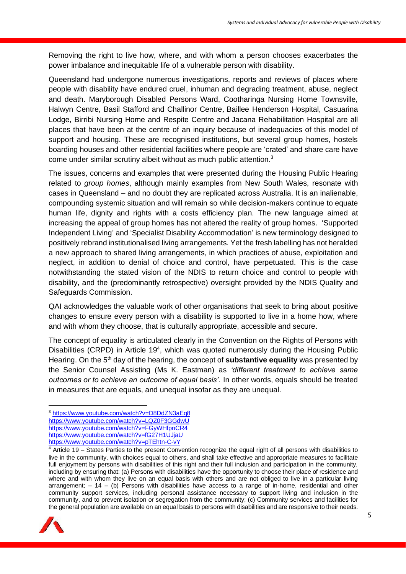Removing the right to live how, where, and with whom a person chooses exacerbates the power imbalance and inequitable life of a vulnerable person with disability.

Queensland had undergone numerous investigations, reports and reviews of places where people with disability have endured cruel, inhuman and degrading treatment, abuse, neglect and death. Maryborough Disabled Persons Ward, Cootharinga Nursing Home Townsville, Halwyn Centre, Basil Stafford and Challinor Centre, Baillee Henderson Hospital, Casuarina Lodge, Birribi Nursing Home and Respite Centre and Jacana Rehabilitation Hospital are all places that have been at the centre of an inquiry because of inadequacies of this model of support and housing. These are recognised institutions, but several group homes, hostels boarding houses and other residential facilities where people are 'crated' and share care have come under similar scrutiny albeit without as much public attention.<sup>3</sup>

The issues, concerns and examples that were presented during the Housing Public Hearing related to *group homes*, although mainly examples from New South Wales, resonate with cases in Queensland – and no doubt they are replicated across Australia. It is an inalienable, compounding systemic situation and will remain so while decision-makers continue to equate human life, dignity and rights with a costs efficiency plan. The new language aimed at increasing the appeal of group homes has not altered the reality of group homes. 'Supported Independent Living' and 'Specialist Disability Accommodation' is new terminology designed to positively rebrand institutionalised living arrangements. Yet the fresh labelling has not heralded a new approach to shared living arrangements, in which practices of abuse, exploitation and neglect, in addition to denial of choice and control, have perpetuated. This is the case notwithstanding the stated vision of the NDIS to return choice and control to people with disability, and the (predominantly retrospective) oversight provided by the NDIS Quality and Safeguards Commission.

QAI acknowledges the valuable work of other organisations that seek to bring about positive changes to ensure every person with a disability is supported to live in a home how, where and with whom they choose, that is culturally appropriate, accessible and secure.

The concept of equality is articulated clearly in the Convention on the Rights of Persons with Disabilities (CRPD) in Article 19<sup>4</sup>, which was quoted numerously during the Housing Public Hearing. On the 5<sup>th</sup> day of the hearing, the concept of **substantive equality** was presented by the Senior Counsel Assisting (Ms K. Eastman) as *'different treatment to achieve same outcomes or to achieve an outcome of equal basis'.* In other words, equals should be treated in measures that are equals, and unequal insofar as they are unequal.

<sup>4</sup> Article 19 – States Parties to the present Convention recognize the equal right of all persons with disabilities to live in the community, with choices equal to others, and shall take effective and appropriate measures to facilitate full enjoyment by persons with disabilities of this right and their full inclusion and participation in the community, including by ensuring that: (a) Persons with disabilities have the opportunity to choose their place of residence and where and with whom they live on an equal basis with others and are not obliged to live in a particular living arrangement;  $-14 - (b)$  Persons with disabilities have access to a range of in-home, residential and other community support services, including personal assistance necessary to support living and inclusion in the community, and to prevent isolation or segregation from the community; (c) Community services and facilities for the general population are available on an equal basis to persons with disabilities and are responsive to their needs.



<sup>3</sup> <https://www.youtube.com/watch?v=D8DdZN3aEq8> <https://www.youtube.com/watch?v=LQZ0F3GGdwU> <https://www.youtube.com/watch?v=FGyWHfpnCR4> <https://www.youtube.com/watch?v=fG27H1UJjaU> <https://www.youtube.com/watch?v=pTEhtn-C-vY>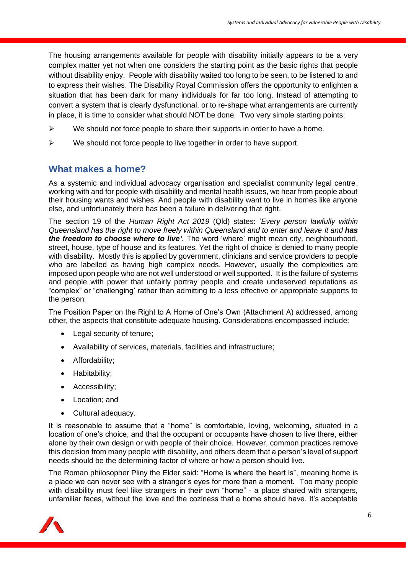The housing arrangements available for people with disability initially appears to be a very complex matter yet not when one considers the starting point as the basic rights that people without disability enjoy. People with disability waited too long to be seen, to be listened to and to express their wishes. The Disability Royal Commission offers the opportunity to enlighten a situation that has been dark for many individuals for far too long. Instead of attempting to convert a system that is clearly dysfunctional, or to re-shape what arrangements are currently in place, it is time to consider what should NOT be done. Two very simple starting points:

- $\triangleright$  We should not force people to share their supports in order to have a home.
- $\triangleright$  We should not force people to live together in order to have support.

### **What makes a home?**

As a systemic and individual advocacy organisation and specialist community legal centre, working with and for people with disability and mental health issues, we hear from people about their housing wants and wishes. And people with disability want to live in homes like anyone else, and unfortunately there has been a failure in delivering that right.

The section 19 of the *Human Right Act 2019* (Qld) states: '*Every person lawfully within Queensland has the right to move freely within Queensland and to enter and leave it and has the freedom to choose where to live'.* The word 'where' might mean city, neighbourhood, street, house, type of house and its features. Yet the right of choice is denied to many people with disability. Mostly this is applied by government, clinicians and service providers to people who are labelled as having high complex needs. However, usually the complexities are imposed upon people who are not well understood or well supported. It is the failure of systems and people with power that unfairly portray people and create undeserved reputations as "complex" or "challenging' rather than admitting to a less effective or appropriate supports to the person.

The Position Paper on the Right to A Home of One's Own (Attachment A) addressed, among other, the aspects that constitute adequate housing. Considerations encompassed include:

- Legal security of tenure;
- Availability of services, materials, facilities and infrastructure;
- Affordability;
- Habitability;
- Accessibility;
- Location; and
- Cultural adequacy.

It is reasonable to assume that a "home" is comfortable, loving, welcoming, situated in a location of one's choice, and that the occupant or occupants have chosen to live there, either alone by their own design or with people of their choice. However, common practices remove this decision from many people with disability, and others deem that a person's level of support needs should be the determining factor of where or how a person should live.

The Roman philosopher Pliny the Elder said: "Home is where the heart is", meaning home is a place we can never see with a stranger's eyes for more than a moment. Too many people with disability must feel like strangers in their own "home" - a place shared with strangers, unfamiliar faces, without the love and the coziness that a home should have. It's acceptable

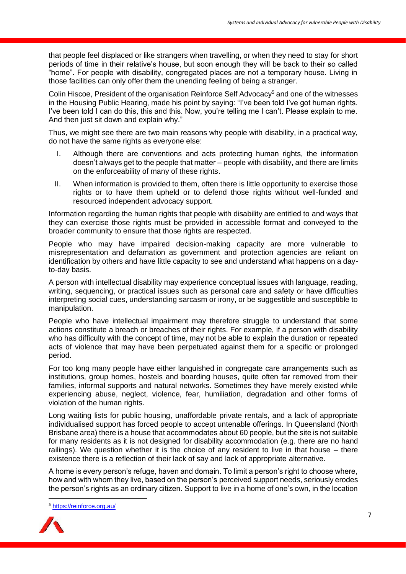that people feel displaced or like strangers when travelling, or when they need to stay for short periods of time in their relative's house, but soon enough they will be back to their so called "home". For people with disability, congregated places are not a temporary house. Living in those facilities can only offer them the unending feeling of being a stranger.

Colin Hiscoe, President of the organisation Reinforce Self Advocacy<sup>5</sup> and one of the witnesses in the Housing Public Hearing, made his point by saying: "I've been told I've got human rights. I've been told I can do this, this and this. Now, you're telling me I can't. Please explain to me. And then just sit down and explain why."

Thus, we might see there are two main reasons why people with disability, in a practical way, do not have the same rights as everyone else:

- I. Although there are conventions and acts protecting human rights, the information doesn't always get to the people that matter – people with disability, and there are limits on the enforceability of many of these rights.
- II. When information is provided to them, often there is little opportunity to exercise those rights or to have them upheld or to defend those rights without well-funded and resourced independent advocacy support.

Information regarding the human rights that people with disability are entitled to and ways that they can exercise those rights must be provided in accessible format and conveyed to the broader community to ensure that those rights are respected.

People who may have impaired decision-making capacity are more vulnerable to misrepresentation and defamation as government and protection agencies are reliant on identification by others and have little capacity to see and understand what happens on a dayto-day basis.

A person with intellectual disability may experience conceptual issues with language, reading, writing, sequencing, or practical issues such as personal care and safety or have difficulties interpreting social cues, understanding sarcasm or irony, or be suggestible and susceptible to manipulation.

People who have intellectual impairment may therefore struggle to understand that some actions constitute a breach or breaches of their rights. For example, if a person with disability who has difficulty with the concept of time, may not be able to explain the duration or repeated acts of violence that may have been perpetuated against them for a specific or prolonged period.

For too long many people have either languished in congregate care arrangements such as institutions, group homes, hostels and boarding houses, quite often far removed from their families, informal supports and natural networks. Sometimes they have merely existed while experiencing abuse, neglect, violence, fear, humiliation, degradation and other forms of violation of the human rights.

Long waiting lists for public housing, unaffordable private rentals, and a lack of appropriate individualised support has forced people to accept untenable offerings. In Queensland (North Brisbane area) there is a house that accommodates about 60 people, but the site is not suitable for many residents as it is not designed for disability accommodation (e.g. there are no hand railings). We question whether it is the choice of any resident to live in that house – there existence there is a reflection of their lack of say and lack of appropriate alternative.

A home is every person's refuge, haven and domain. To limit a person's right to choose where, how and with whom they live, based on the person's perceived support needs, seriously erodes the person's rights as an ordinary citizen. Support to live in a home of one's own, in the location

<sup>5</sup> <https://reinforce.org.au/>

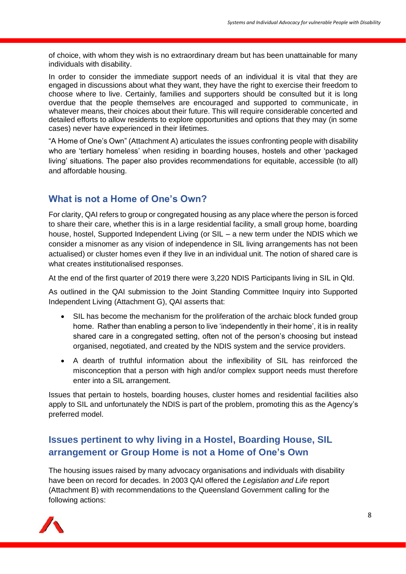of choice, with whom they wish is no extraordinary dream but has been unattainable for many individuals with disability.

In order to consider the immediate support needs of an individual it is vital that they are engaged in discussions about what they want, they have the right to exercise their freedom to choose where to live. Certainly, families and supporters should be consulted but it is long overdue that the people themselves are encouraged and supported to communicate, in whatever means, their choices about their future. This will require considerable concerted and detailed efforts to allow residents to explore opportunities and options that they may (in some cases) never have experienced in their lifetimes.

"A Home of One's Own" (Attachment A) articulates the issues confronting people with disability who are 'tertiary homeless' when residing in boarding houses, hostels and other 'packaged living' situations. The paper also provides recommendations for equitable, accessible (to all) and affordable housing.

### **What is not a Home of One's Own?**

For clarity, QAI refers to group or congregated housing as any place where the person is forced to share their care, whether this is in a large residential facility, a small group home, boarding house, hostel, Supported Independent Living (or SIL – a new term under the NDIS which we consider a misnomer as any vision of independence in SIL living arrangements has not been actualised) or cluster homes even if they live in an individual unit. The notion of shared care is what creates institutionalised responses.

At the end of the first quarter of 2019 there were 3,220 NDIS Participants living in SIL in Qld.

As outlined in the QAI submission to the Joint Standing Committee Inquiry into Supported Independent Living (Attachment G), QAI asserts that:

- SIL has become the mechanism for the proliferation of the archaic block funded group home. Rather than enabling a person to live 'independently in their home', it is in reality shared care in a congregated setting, often not of the person's choosing but instead organised, negotiated, and created by the NDIS system and the service providers.
- A dearth of truthful information about the inflexibility of SIL has reinforced the misconception that a person with high and/or complex support needs must therefore enter into a SIL arrangement.

Issues that pertain to hostels, boarding houses, cluster homes and residential facilities also apply to SIL and unfortunately the NDIS is part of the problem, promoting this as the Agency's preferred model.

## **Issues pertinent to why living in a Hostel, Boarding House, SIL arrangement or Group Home is not a Home of One's Own**

The housing issues raised by many advocacy organisations and individuals with disability have been on record for decades. In 2003 QAI offered the *Legislation and Life* report (Attachment B) with recommendations to the Queensland Government calling for the following actions:

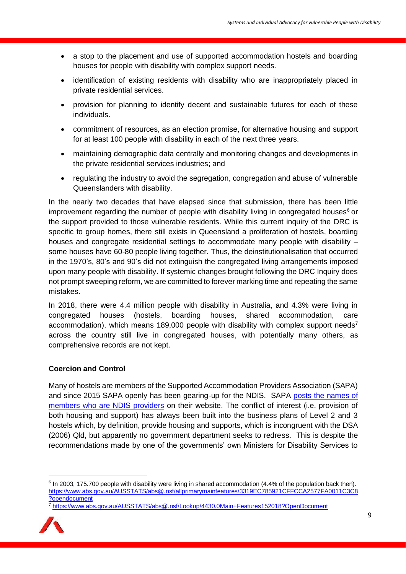- a stop to the placement and use of supported accommodation hostels and boarding houses for people with disability with complex support needs.
- identification of existing residents with disability who are inappropriately placed in private residential services.
- provision for planning to identify decent and sustainable futures for each of these individuals.
- commitment of resources, as an election promise, for alternative housing and support for at least 100 people with disability in each of the next three years.
- maintaining demographic data centrally and monitoring changes and developments in the private residential services industries; and
- regulating the industry to avoid the segregation, congregation and abuse of vulnerable Queenslanders with disability.

In the nearly two decades that have elapsed since that submission, there has been little improvement regarding the number of people with disability living in congregated houses<sup>6</sup> or the support provided to those vulnerable residents. While this current inquiry of the DRC is specific to group homes, there still exists in Queensland a proliferation of hostels, boarding houses and congregate residential settings to accommodate many people with disability – some houses have 60-80 people living together. Thus, the deinstitutionalisation that occurred in the 1970's, 80's and 90's did not extinguish the congregated living arrangements imposed upon many people with disability. If systemic changes brought following the DRC Inquiry does not prompt sweeping reform, we are committed to forever marking time and repeating the same mistakes.

In 2018, there were 4.4 million people with disability in Australia, and 4.3% were living in congregated houses (hostels, boarding houses, shared accommodation, care accommodation), which means 189,000 people with disability with complex support needs<sup>7</sup> across the country still live in congregated houses, with potentially many others, as comprehensive records are not kept.

#### **Coercion and Control**

Many of hostels are members of the Supported Accommodation Providers Association (SAPA) and since 2015 SAPA openly has been gearing-up for the NDIS. SAPA [posts the names of](http://www.sapa.org.au/ndis/)  [members who are NDIS providers](http://www.sapa.org.au/ndis/) on their website. The conflict of interest (i.e. provision of both housing and support) has always been built into the business plans of Level 2 and 3 hostels which, by definition, provide housing and supports, which is incongruent with the DSA (2006) Qld, but apparently no government department seeks to redress. This is despite the recommendations made by one of the governments' own Ministers for Disability Services to

<sup>7</sup> <https://www.abs.gov.au/AUSSTATS/abs@.nsf/Lookup/4430.0Main+Features152018?OpenDocument>



<sup>&</sup>lt;sup>6</sup> In 2003, 175.700 people with disability were living in shared accommodation (4.4% of the population back then). [https://www.abs.gov.au/AUSSTATS/abs@.nsf/allprimarymainfeatures/3319EC785921CFFCCA2577FA0011C3C8](https://www.abs.gov.au/AUSSTATS/abs@.nsf/allprimarymainfeatures/3319EC785921CFFCCA2577FA0011C3C8?opendocument) [?opendocument](https://www.abs.gov.au/AUSSTATS/abs@.nsf/allprimarymainfeatures/3319EC785921CFFCCA2577FA0011C3C8?opendocument)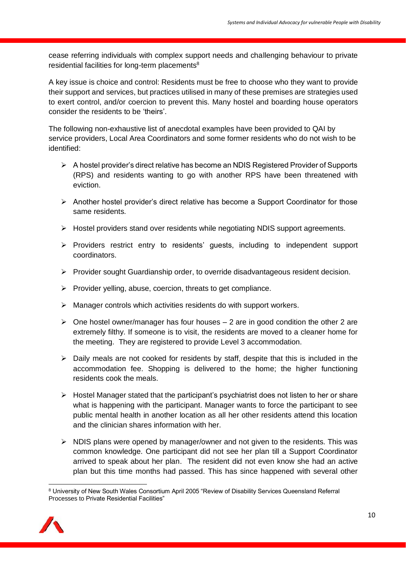cease referring individuals with complex support needs and challenging behaviour to private residential facilities for long-term placements<sup>8</sup>

A key issue is choice and control: Residents must be free to choose who they want to provide their support and services, but practices utilised in many of these premises are strategies used to exert control, and/or coercion to prevent this. Many hostel and boarding house operators consider the residents to be 'theirs'.

The following non-exhaustive list of anecdotal examples have been provided to QAI by service providers, Local Area Coordinators and some former residents who do not wish to be identified:

- ➢ A hostel provider's direct relative has become an NDIS Registered Provider of Supports (RPS) and residents wanting to go with another RPS have been threatened with eviction.
- ➢ Another hostel provider's direct relative has become a Support Coordinator for those same residents.
- ➢ Hostel providers stand over residents while negotiating NDIS support agreements.
- ➢ Providers restrict entry to residents' guests, including to independent support coordinators.
- ➢ Provider sought Guardianship order, to override disadvantageous resident decision.
- $\triangleright$  Provider yelling, abuse, coercion, threats to get compliance.
- ➢ Manager controls which activities residents do with support workers.
- $\triangleright$  One hostel owner/manager has four houses 2 are in good condition the other 2 are extremely filthy. If someone is to visit, the residents are moved to a cleaner home for the meeting. They are registered to provide Level 3 accommodation.
- ➢ Daily meals are not cooked for residents by staff, despite that this is included in the accommodation fee. Shopping is delivered to the home; the higher functioning residents cook the meals.
- ➢ Hostel Manager stated that the participant's psychiatrist does not listen to her or share what is happening with the participant. Manager wants to force the participant to see public mental health in another location as all her other residents attend this location and the clinician shares information with her.
- $\triangleright$  NDIS plans were opened by manager/owner and not given to the residents. This was common knowledge. One participant did not see her plan till a Support Coordinator arrived to speak about her plan. The resident did not even know she had an active plan but this time months had passed. This has since happened with several other

<sup>8</sup> University of New South Wales Consortium April 2005 "Review of Disability Services Queensland Referral Processes to Private Residential Facilities"

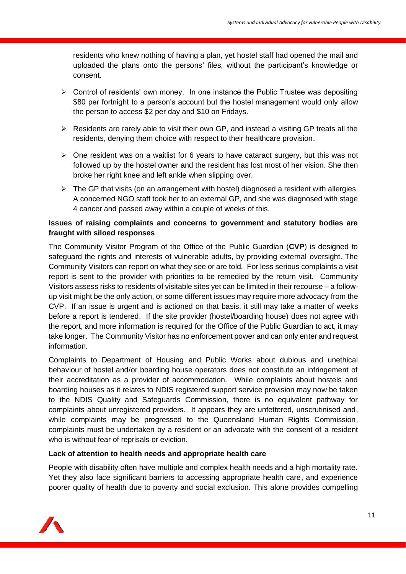residents who knew nothing of having a plan, yet hostel staff had opened the mail and uploaded the plans onto the persons' files, without the participant's knowledge or consent.

- $\triangleright$  Control of residents' own money. In one instance the Public Trustee was depositing \$80 per fortnight to a person's account but the hostel management would only allow the person to access \$2 per day and \$10 on Fridays.
- $\triangleright$  Residents are rarely able to visit their own GP, and instead a visiting GP treats all the residents, denying them choice with respect to their healthcare provision.
- ➢ One resident was on a waitlist for 6 years to have cataract surgery, but this was not followed up by the hostel owner and the resident has lost most of her vision. She then broke her right knee and left ankle when slipping over.
- $\triangleright$  The GP that visits (on an arrangement with hostel) diagnosed a resident with allergies. A concerned NGO staff took her to an external GP, and she was diagnosed with stage 4 cancer and passed away within a couple of weeks of this.

#### **Issues of raising complaints and concerns to government and statutory bodies are fraught with siloed responses**

The Community Visitor Program of the Office of the Public Guardian (**CVP**) is designed to safeguard the rights and interests of vulnerable adults, by providing external oversight. The Community Visitors can report on what they see or are told. For less serious complaints a visit report is sent to the provider with priorities to be remedied by the return visit. Community Visitors assess risks to residents of visitable sites yet can be limited in their recourse – a followup visit might be the only action, or some different issues may require more advocacy from the CVP. If an issue is urgent and is actioned on that basis, it still may take a matter of weeks before a report is tendered. If the site provider (hostel/boarding house) does not agree with the report, and more information is required for the Office of the Public Guardian to act, it may take longer. The Community Visitor has no enforcement power and can only enter and request information.

Complaints to Department of Housing and Public Works about dubious and unethical behaviour of hostel and/or boarding house operators does not constitute an infringement of their accreditation as a provider of accommodation. While complaints about hostels and boarding houses as it relates to NDIS registered support service provision may now be taken to the NDIS Quality and Safeguards Commission, there is no equivalent pathway for complaints about unregistered providers. It appears they are unfettered, unscrutinised and, while complaints may be progressed to the Queensland Human Rights Commission, complaints must be undertaken by a resident or an advocate with the consent of a resident who is without fear of reprisals or eviction.

#### **Lack of attention to health needs and appropriate health care**

People with disability often have multiple and complex health needs and a high mortality rate. Yet they also face significant barriers to accessing appropriate health care, and experience poorer quality of health due to poverty and social exclusion. This alone provides compelling

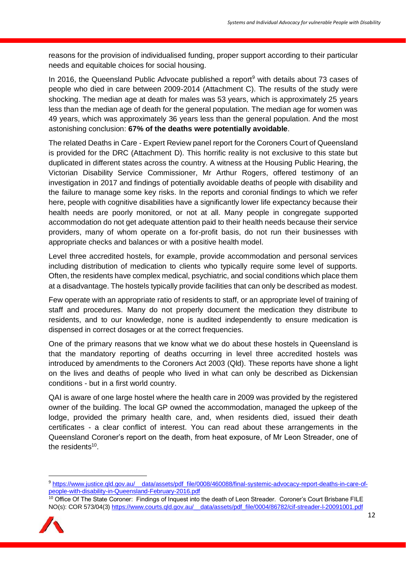reasons for the provision of individualised funding, proper support according to their particular needs and equitable choices for social housing.

In 2016, the Queensland Public Advocate published a report<sup>9</sup> with details about 73 cases of people who died in care between 2009-2014 (Attachment C). The results of the study were shocking. The median age at death for males was 53 years, which is approximately 25 years less than the median age of death for the general population. The median age for women was 49 years, which was approximately 36 years less than the general population. And the most astonishing conclusion: **67% of the deaths were potentially avoidable**.

The related Deaths in Care - Expert Review panel report for the Coroners Court of Queensland is provided for the DRC (Attachment D). This horrific reality is not exclusive to this state but duplicated in different states across the country. A witness at the Housing Public Hearing, the Victorian Disability Service Commissioner, Mr Arthur Rogers, offered testimony of an investigation in 2017 and findings of potentially avoidable deaths of people with disability and the failure to manage some key risks. In the reports and coronial findings to which we refer here, people with cognitive disabilities have a significantly lower life expectancy because their health needs are poorly monitored, or not at all. Many people in congregate supported accommodation do not get adequate attention paid to their health needs because their service providers, many of whom operate on a for-profit basis, do not run their businesses with appropriate checks and balances or with a positive health model.

Level three accredited hostels, for example, provide accommodation and personal services including distribution of medication to clients who typically require some level of supports. Often, the residents have complex medical, psychiatric, and social conditions which place them at a disadvantage. The hostels typically provide facilities that can only be described as modest.

Few operate with an appropriate ratio of residents to staff, or an appropriate level of training of staff and procedures. Many do not properly document the medication they distribute to residents, and to our knowledge, none is audited independently to ensure medication is dispensed in correct dosages or at the correct frequencies.

One of the primary reasons that we know what we do about these hostels in Queensland is that the mandatory reporting of deaths occurring in level three accredited hostels was introduced by amendments to the Coroners Act 2003 (Qld). These reports have shone a light on the lives and deaths of people who lived in what can only be described as Dickensian conditions - but in a first world country.

QAI is aware of one large hostel where the health care in 2009 was provided by the registered owner of the building. The local GP owned the accommodation, managed the upkeep of the lodge, provided the primary health care, and, when residents died, issued their death certificates - a clear conflict of interest. You can read about these arrangements in the Queensland Coroner's report on the death, from heat exposure, of Mr Leon Streader, one of the residents<sup>10</sup>.

<sup>10</sup> Office Of The State Coroner: Findings of Inquest into the death of Leon Streader. Coroner's Court Brisbane FILE NO(s): COR 573/04(3) [https://www.courts.qld.gov.au/\\_\\_data/assets/pdf\\_file/0004/86782/cif-streader-l-20091001.pdf](https://www.courts.qld.gov.au/__data/assets/pdf_file/0004/86782/cif-streader-l-20091001.pdf)



<sup>9</sup> [https://www.justice.qld.gov.au/\\_\\_data/assets/pdf\\_file/0008/460088/final-systemic-advocacy-report-deaths-in-care-of](https://www.justice.qld.gov.au/__data/assets/pdf_file/0008/460088/final-systemic-advocacy-report-deaths-in-care-of-people-with-disability-in-Queensland-February-2016.pdf)[people-with-disability-in-Queensland-February-2016.pdf](https://www.justice.qld.gov.au/__data/assets/pdf_file/0008/460088/final-systemic-advocacy-report-deaths-in-care-of-people-with-disability-in-Queensland-February-2016.pdf)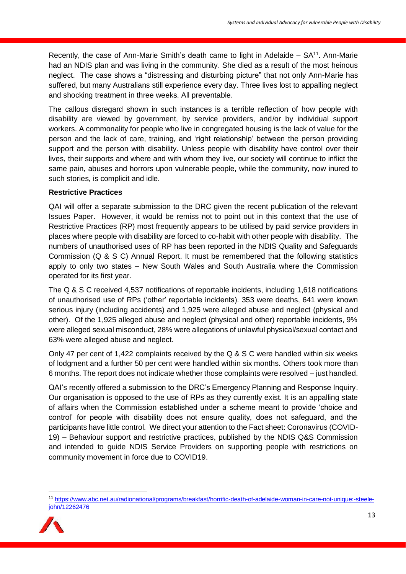Recently, the case of Ann-Marie Smith's death came to light in Adelaide  $-$  SA<sup>11</sup>. Ann-Marie had an NDIS plan and was living in the community. She died as a result of the most heinous neglect. The case shows a "distressing and disturbing picture" that not only Ann-Marie has suffered, but many Australians still experience every day. Three lives lost to appalling neglect and shocking treatment in three weeks. All preventable.

The callous disregard shown in such instances is a terrible reflection of how people with disability are viewed by government, by service providers, and/or by individual support workers. A commonality for people who live in congregated housing is the lack of value for the person and the lack of care, training, and 'right relationship' between the person providing support and the person with disability. Unless people with disability have control over their lives, their supports and where and with whom they live, our society will continue to inflict the same pain, abuses and horrors upon vulnerable people, while the community, now inured to such stories, is complicit and idle.

#### **Restrictive Practices**

QAI will offer a separate submission to the DRC given the recent publication of the relevant Issues Paper. However, it would be remiss not to point out in this context that the use of Restrictive Practices (RP) most frequently appears to be utilised by paid service providers in places where people with disability are forced to co-habit with other people with disability. The numbers of unauthorised uses of RP has been reported in the NDIS Quality and Safeguards Commission (Q & S C) Annual Report. It must be remembered that the following statistics apply to only two states – New South Wales and South Australia where the Commission operated for its first year.

The Q & S C received 4,537 notifications of reportable incidents, including 1,618 notifications of unauthorised use of RPs ('other' reportable incidents). 353 were deaths, 641 were known serious injury (including accidents) and 1,925 were alleged abuse and neglect (physical and other). Of the 1,925 alleged abuse and neglect (physical and other) reportable incidents, 9% were alleged sexual misconduct, 28% were allegations of unlawful physical/sexual contact and 63% were alleged abuse and neglect.

Only 47 per cent of 1,422 complaints received by the Q & S C were handled within six weeks of lodgment and a further 50 per cent were handled within six months. Others took more than 6 months. The report does not indicate whether those complaints were resolved – just handled.

QAI's recently offered a submission to the DRC's Emergency Planning and Response Inquiry. Our organisation is opposed to the use of RPs as they currently exist. It is an appalling state of affairs when the Commission established under a scheme meant to provide 'choice and control' for people with disability does not ensure quality, does not safeguard, and the participants have little control. We direct your attention to [the Fact sheet: Coronavirus \(COVID-](https://www.ndiscommission.gov.au/document/1991)19) – [Behaviour support and restrictive practices, publ](https://www.ndiscommission.gov.au/document/1991)ished by the NDIS Q&S Commission and intended to guide NDIS Service Providers on supporting people with restrictions on community movement in force due to COVID19.

<sup>11</sup> [https://www.abc.net.au/radionational/programs/breakfast/horrific-death-of-adelaide-woman-in-care-not-unique:-steele](https://www.abc.net.au/radionational/programs/breakfast/horrific-death-of-adelaide-woman-in-care-not-unique:-steele-john/12262476)[john/12262476](https://www.abc.net.au/radionational/programs/breakfast/horrific-death-of-adelaide-woman-in-care-not-unique:-steele-john/12262476)

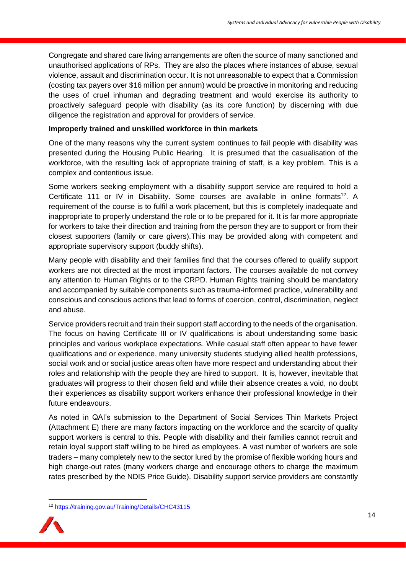Congregate and shared care living arrangements are often the source of many sanctioned and unauthorised applications of RPs. They are also the places where instances of abuse, sexual violence, assault and discrimination occur. It is not unreasonable to expect that a Commission (costing tax payers over \$16 million per annum) would be proactive in monitoring and reducing the uses of cruel inhuman and degrading treatment and would exercise its authority to proactively safeguard people with disability (as its core function) by discerning with due diligence the registration and approval for providers of service.

#### **Improperly trained and unskilled workforce in thin markets**

One of the many reasons why the current system continues to fail people with disability was presented during the Housing Public Hearing. It is presumed that the casualisation of the workforce, with the resulting lack of appropriate training of staff, is a key problem. This is a complex and contentious issue.

Some workers seeking employment with a disability support service are required to hold a Certificate 111 or IV in Disability. Some courses are available in online formats<sup>12</sup>. A requirement of the course is to fulfil a work placement, but this is completely inadequate and inappropriate to properly understand the role or to be prepared for it. It is far more appropriate for workers to take their direction and training from the person they are to support or from their closest supporters (family or care givers).This may be provided along with competent and appropriate supervisory support (buddy shifts).

Many people with disability and their families find that the courses offered to qualify support workers are not directed at the most important factors. The courses available do not convey any attention to Human Rights or to the CRPD. Human Rights training should be mandatory and accompanied by suitable components such as trauma-informed practice, vulnerability and conscious and conscious actions that lead to forms of coercion, control, discrimination, neglect and abuse.

Service providers recruit and train their support staff according to the needs of the organisation. The focus on having Certificate III or IV qualifications is about understanding some basic principles and various workplace expectations. While casual staff often appear to have fewer qualifications and or experience, many university students studying allied health professions, social work and or social justice areas often have more respect and understanding about their roles and relationship with the people they are hired to support. It is, however, inevitable that graduates will progress to their chosen field and while their absence creates a void, no doubt their experiences as disability support workers enhance their professional knowledge in their future endeavours.

As noted in QAI's submission to the Department of Social Services Thin Markets Project (Attachment E) there are many factors impacting on the workforce and the scarcity of quality support workers is central to this. People with disability and their families cannot recruit and retain loyal support staff willing to be hired as employees. A vast number of workers are sole traders – many completely new to the sector lured by the promise of flexible working hours and high charge-out rates (many workers charge and encourage others to charge the maximum rates prescribed by the NDIS Price Guide). Disability support service providers are constantly

<sup>12</sup> <https://training.gov.au/Training/Details/CHC43115>

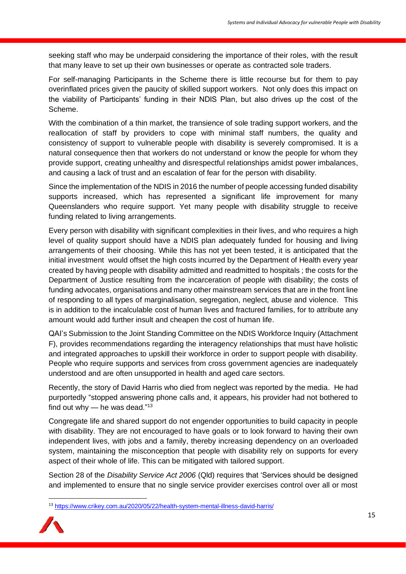seeking staff who may be underpaid considering the importance of their roles, with the result that many leave to set up their own businesses or operate as contracted sole traders.

For self-managing Participants in the Scheme there is little recourse but for them to pay overinflated prices given the paucity of skilled support workers. Not only does this impact on the viability of Participants' funding in their NDIS Plan, but also drives up the cost of the Scheme.

With the combination of a thin market, the transience of sole trading support workers, and the reallocation of staff by providers to cope with minimal staff numbers, the quality and consistency of support to vulnerable people with disability is severely compromised. It is a natural consequence then that workers do not understand or know the people for whom they provide support, creating unhealthy and disrespectful relationships amidst power imbalances, and causing a lack of trust and an escalation of fear for the person with disability.

Since the implementation of the NDIS in 2016 the number of people accessing funded disability supports increased, which has represented a significant life improvement for many Queenslanders who require support. Yet many people with disability struggle to receive funding related to living arrangements.

Every person with disability with significant complexities in their lives, and who requires a high level of quality support should have a NDIS plan adequately funded for housing and living arrangements of their choosing. While this has not yet been tested, it is anticipated that the initial investment would offset the high costs incurred by the Department of Health every year created by having people with disability admitted and readmitted to hospitals ; the costs for the Department of Justice resulting from the incarceration of people with disability; the costs of funding advocates, organisations and many other mainstream services that are in the front line of responding to all types of marginalisation, segregation, neglect, abuse and violence. This is in addition to the incalculable cost of human lives and fractured families, for to attribute any amount would add further insult and cheapen the cost of human life.

QAI's Submission to the Joint Standing Committee on the NDIS Workforce Inquiry (Attachment F), provides recommendations regarding the interagency relationships that must have holistic and integrated approaches to upskill their workforce in order to support people with disability. People who require supports and services from cross government agencies are inadequately understood and are often unsupported in health and aged care sectors.

Recently, the story of David Harris who died from neglect was reported by the media. He had purportedly "stopped answering phone calls and, it appears, his provider had not bothered to find out why  $-$  he was dead." $^{13}$ 

Congregate life and shared support do not engender opportunities to build capacity in people with disability. They are not encouraged to have goals or to look forward to having their own independent lives, with jobs and a family, thereby increasing dependency on an overloaded system, maintaining the misconception that people with disability rely on supports for every aspect of their whole of life. This can be mitigated with tailored support.

Section 28 of the *Disability Service Act 2006* (Qld) requires that 'Services should be designed and implemented to ensure that no single service provider exercises control over all or most

<sup>13</sup> <https://www.crikey.com.au/2020/05/22/health-system-mental-illness-david-harris/>

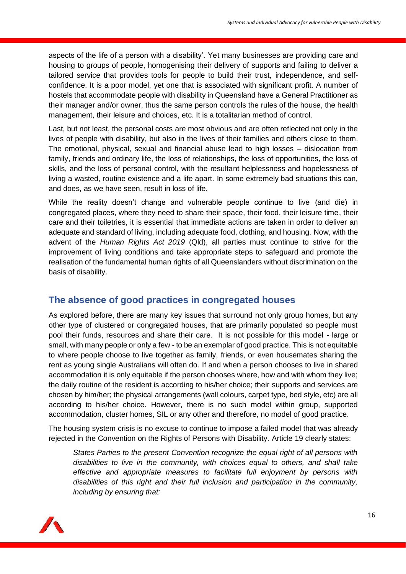aspects of the life of a person with a disability'. Yet many businesses are providing care and housing to groups of people, homogenising their delivery of supports and failing to deliver a tailored service that provides tools for people to build their trust, independence, and selfconfidence. It is a poor model, yet one that is associated with significant profit. A number of hostels that accommodate people with disability in Queensland have a General Practitioner as their manager and/or owner, thus the same person controls the rules of the house, the health management, their leisure and choices, etc. It is a totalitarian method of control.

Last, but not least, the personal costs are most obvious and are often reflected not only in the lives of people with disability, but also in the lives of their families and others close to them. The emotional, physical, sexual and financial abuse lead to high losses – dislocation from family, friends and ordinary life, the loss of relationships, the loss of opportunities, the loss of skills, and the loss of personal control, with the resultant helplessness and hopelessness of living a wasted, routine existence and a life apart. In some extremely bad situations this can, and does, as we have seen, result in loss of life.

While the reality doesn't change and vulnerable people continue to live (and die) in congregated places, where they need to share their space, their food, their leisure time, their care and their toiletries, it is essential that immediate actions are taken in order to deliver an adequate and standard of living, including adequate food, clothing, and housing. Now, with the advent of the *Human Rights Act 2019* (Qld), all parties must continue to strive for the improvement of living conditions and take appropriate steps to safeguard and promote the realisation of the fundamental human rights of all Queenslanders without discrimination on the basis of disability.

## **The absence of good practices in congregated houses**

As explored before, there are many key issues that surround not only group homes, but any other type of clustered or congregated houses, that are primarily populated so people must pool their funds, resources and share their care. It is not possible for this model - large or small, with many people or only a few - to be an exemplar of good practice. This is not equitable to where people choose to live together as family, friends, or even housemates sharing the rent as young single Australians will often do. If and when a person chooses to live in shared accommodation it is only equitable if the person chooses where, how and with whom they live; the daily routine of the resident is according to his/her choice; their supports and services are chosen by him/her; the physical arrangements (wall colours, carpet type, bed style, etc) are all according to his/her choice. However, there is no such model within group, supported accommodation, cluster homes, SIL or any other and therefore, no model of good practice.

The housing system crisis is no excuse to continue to impose a failed model that was already rejected in the Convention on the Rights of Persons with Disability. Article 19 clearly states:

*States Parties to the present Convention recognize the equal right of all persons with disabilities to live in the community, with choices equal to others, and shall take effective and appropriate measures to facilitate full enjoyment by persons with disabilities of this right and their full inclusion and participation in the community, including by ensuring that:* 

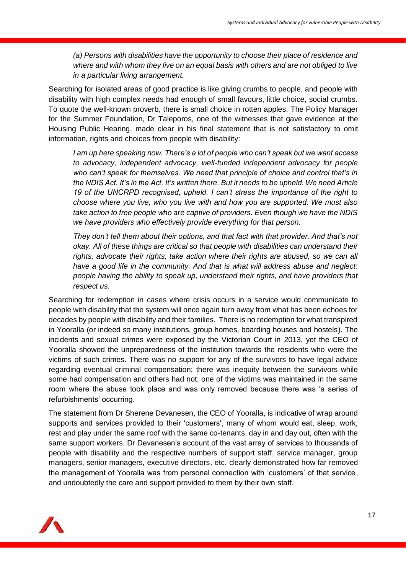*(a) Persons with disabilities have the opportunity to choose their place of residence and where and with whom they live on an equal basis with others and are not obliged to live in a particular living arrangement.*

Searching for isolated areas of good practice is like giving crumbs to people, and people with disability with high complex needs had enough of small favours, little choice, social crumbs. To quote the well-known proverb, there is small choice in rotten apples. The Policy Manager for the Summer Foundation, Dr Taleporos, one of the witnesses that gave evidence at the Housing Public Hearing, made clear in his final statement that is not satisfactory to omit information, rights and choices from people with disability:

*I am up here speaking now. There's a lot of people who can't speak but we want access to advocacy, independent advocacy, well-funded independent advocacy for people who can't speak for themselves. We need that principle of choice and control that's in the NDIS Act. It's in the Act. It's written there. But it needs to be upheld. We need Article 19 of the UNCRPD recognised, upheld. I can't stress the importance of the right to choose where you live, who you live with and how you are supported. We must also take action to free people who are captive of providers. Even though we have the NDIS we have providers who effectively provide everything for that person.*

*They don't tell them about their options, and that fact with that provider. And that's not okay. All of these things are critical so that people with disabilities can understand their rights, advocate their rights, take action where their rights are abused, so we can all have a good life in the community. And that is what will address abuse and neglect: people having the ability to speak up, understand their rights, and have providers that respect us.*

Searching for redemption in cases where crisis occurs in a service would communicate to people with disability that the system will once again turn away from what has been echoes for decades by people with disability and their families. There is no redemption for what transpired in Yooralla (or indeed so many institutions, group homes, boarding houses and hostels). The incidents and sexual crimes were exposed by the Victorian Court in 2013, yet the CEO of Yooralla showed the unpreparedness of the institution towards the residents who were the victims of such crimes. There was no support for any of the survivors to have legal advice regarding eventual criminal compensation; there was inequity between the survivors while some had compensation and others had not; one of the victims was maintained in the same room where the abuse took place and was only removed because there was 'a series of refurbishments' occurring.

The statement from Dr Sherene Devanesen, the CEO of Yooralla, is indicative of wrap around supports and services provided to their 'customers', many of whom would eat, sleep, work, rest and play under the same roof with the same co-tenants, day in and day out, often with the same support workers. Dr Devanesen's account of the vast array of services to thousands of people with disability and the respective numbers of support staff, service manager, group managers, senior managers, executive directors, etc. clearly demonstrated how far removed the management of Yooralla was from personal connection with 'customers' of that service, and undoubtedly the care and support provided to them by their own staff.

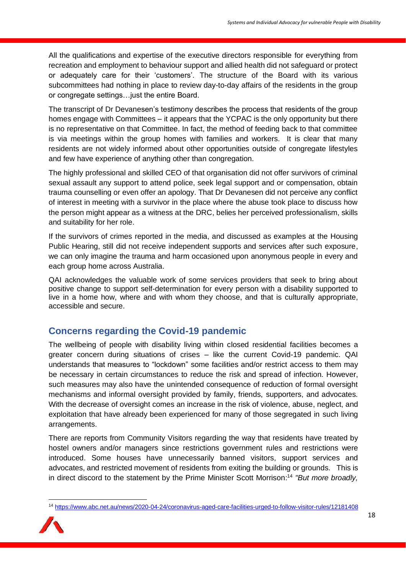All the qualifications and expertise of the executive directors responsible for everything from recreation and employment to behaviour support and allied health did not safeguard or protect or adequately care for their 'customers'. The structure of the Board with its various subcommittees had nothing in place to review day-to-day affairs of the residents in the group or congregate settings…just the entire Board.

The transcript of Dr Devanesen's testimony describes the process that residents of the group homes engage with Committees – it appears that the YCPAC is the only opportunity but there is no representative on that Committee. In fact, the method of feeding back to that committee is via meetings within the group homes with families and workers. It is clear that many residents are not widely informed about other opportunities outside of congregate lifestyles and few have experience of anything other than congregation.

The highly professional and skilled CEO of that organisation did not offer survivors of criminal sexual assault any support to attend police, seek legal support and or compensation, obtain trauma counselling or even offer an apology. That Dr Devanesen did not perceive any conflict of interest in meeting with a survivor in the place where the abuse took place to discuss how the person might appear as a witness at the DRC, belies her perceived professionalism, skills and suitability for her role.

If the survivors of crimes reported in the media, and discussed as examples at the Housing Public Hearing, still did not receive independent supports and services after such exposure, we can only imagine the trauma and harm occasioned upon anonymous people in every and each group home across Australia.

QAI acknowledges the valuable work of some services providers that seek to bring about positive change to support self-determination for every person with a disability supported to live in a home how, where and with whom they choose, and that is culturally appropriate, accessible and secure.

## **Concerns regarding the Covid-19 pandemic**

The wellbeing of people with disability living within closed residential facilities becomes a greater concern during situations of crises – like the current Covid-19 pandemic. QAI understands that measures to "lockdown" some facilities and/or restrict access to them may be necessary in certain circumstances to reduce the risk and spread of infection. However, such measures may also have the unintended consequence of reduction of formal oversight mechanisms and informal oversight provided by family, friends, supporters, and advocates. With the decrease of oversight comes an increase in the risk of violence, abuse, neglect, and exploitation that have already been experienced for many of those segregated in such living arrangements.

There are reports from Community Visitors regarding the way that residents have treated by hostel owners and/or managers since restrictions government rules and restrictions were introduced. Some houses have unnecessarily banned visitors, support services and advocates, and restricted movement of residents from exiting the building or grounds. This is in direct discord to the statement by the Prime Minister Scott Morrison: <sup>14</sup> *"But more broadly,* 

<sup>14</sup> <https://www.abc.net.au/news/2020-04-24/coronavirus-aged-care-facilities-urged-to-follow-visitor-rules/12181408>

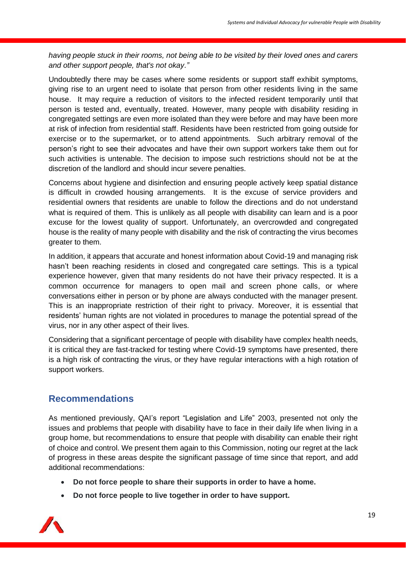*having people stuck in their rooms, not being able to be visited by their loved ones and carers and other support people, that's not okay."*

Undoubtedly there may be cases where some residents or support staff exhibit symptoms, giving rise to an urgent need to isolate that person from other residents living in the same house. It may require a reduction of visitors to the infected resident temporarily until that person is tested and, eventually, treated. However, many people with disability residing in congregated settings are even more isolated than they were before and may have been more at risk of infection from residential staff. Residents have been restricted from going outside for exercise or to the supermarket, or to attend appointments. Such arbitrary removal of the person's right to see their advocates and have their own support workers take them out for such activities is untenable. The decision to impose such restrictions should not be at the discretion of the landlord and should incur severe penalties.

Concerns about hygiene and disinfection and ensuring people actively keep spatial distance is difficult in crowded housing arrangements. It is the excuse of service providers and residential owners that residents are unable to follow the directions and do not understand what is required of them. This is unlikely as all people with disability can learn and is a poor excuse for the lowest quality of support. Unfortunately, an overcrowded and congregated house is the reality of many people with disability and the risk of contracting the virus becomes greater to them.

In addition, it appears that accurate and honest information about Covid-19 and managing risk hasn't been reaching residents in closed and congregated care settings. This is a typical experience however, given that many residents do not have their privacy respected. It is a common occurrence for managers to open mail and screen phone calls, or where conversations either in person or by phone are always conducted with the manager present. This is an inappropriate restriction of their right to privacy. Moreover, it is essential that residents' human rights are not violated in procedures to manage the potential spread of the virus, nor in any other aspect of their lives.

Considering that a significant percentage of people with disability have complex health needs, it is critical they are fast-tracked for testing where Covid-19 symptoms have presented, there is a high risk of contracting the virus, or they have regular interactions with a high rotation of support workers.

### **Recommendations**

As mentioned previously, QAI's report "Legislation and Life" 2003, presented not only the issues and problems that people with disability have to face in their daily life when living in a group home, but recommendations to ensure that people with disability can enable their right of choice and control. We present them again to this Commission, noting our regret at the lack of progress in these areas despite the significant passage of time since that report, and add additional recommendations:

- **Do not force people to share their supports in order to have a home.**
- **Do not force people to live together in order to have support.**